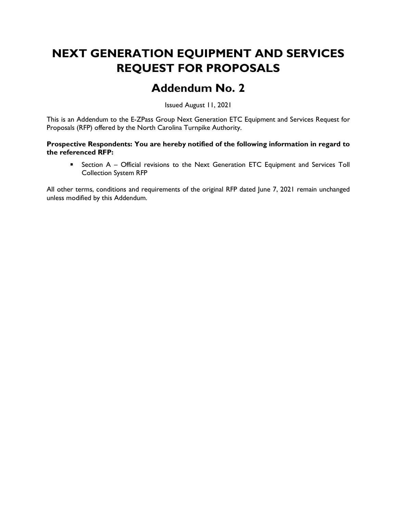# NEXT GENERATION EQUIPMENT AND SERVICES REQUEST FOR PROPOSALS

## Addendum No. 2

Issued August 11, 2021

This is an Addendum to the E-ZPass Group Next Generation ETC Equipment and Services Request for Proposals (RFP) offered by the North Carolina Turnpike Authority.

#### Prospective Respondents: You are hereby notified of the following information in regard to the referenced RFP:

**EXECT** Section A – Official revisions to the Next Generation ETC Equipment and Services Toll Collection System RFP

All other terms, conditions and requirements of the original RFP dated June 7, 2021 remain unchanged unless modified by this Addendum.